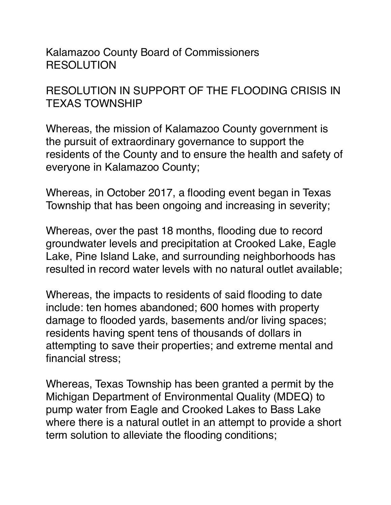Kalamazoo County Board of Commissioners **RESOLUTION** 

RESOLUTION IN SUPPORT OF THE FLOODING CRISIS IN TEXAS TOWNSHIP

Whereas, the mission of Kalamazoo County government is the pursuit of extraordinary governance to support the residents of the County and to ensure the health and safety of everyone in Kalamazoo County;

Whereas, in October 2017, a flooding event began in Texas Township that has been ongoing and increasing in severity;

Whereas, over the past 18 months, flooding due to record groundwater levels and precipitation at Crooked Lake, Eagle Lake, Pine Island Lake, and surrounding neighborhoods has resulted in record water levels with no natural outlet available;

Whereas, the impacts to residents of said flooding to date include: ten homes abandoned; 600 homes with property damage to flooded yards, basements and/or living spaces; residents having spent tens of thousands of dollars in attempting to save their properties; and extreme mental and financial stress;

Whereas, Texas Township has been granted a permit by the Michigan Department of Environmental Quality (MDEQ) to pump water from Eagle and Crooked Lakes to Bass Lake where there is a natural outlet in an attempt to provide a short term solution to alleviate the flooding conditions;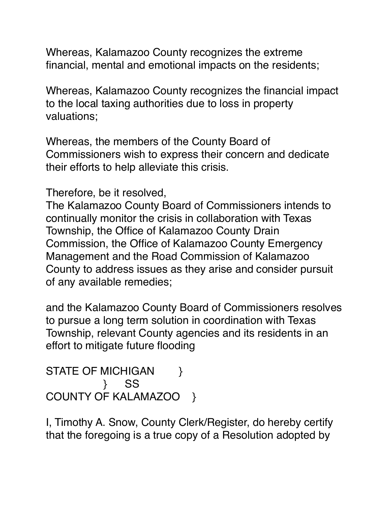Whereas, Kalamazoo County recognizes the extreme financial, mental and emotional impacts on the residents;

Whereas, Kalamazoo County recognizes the financial impact to the local taxing authorities due to loss in property valuations;

Whereas, the members of the County Board of Commissioners wish to express their concern and dedicate their efforts to help alleviate this crisis.

Therefore, be it resolved,

The Kalamazoo County Board of Commissioners intends to continually monitor the crisis in collaboration with Texas Township, the Office of Kalamazoo County Drain Commission, the Office of Kalamazoo County Emergency Management and the Road Commission of Kalamazoo County to address issues as they arise and consider pursuit of any available remedies;

and the Kalamazoo County Board of Commissioners resolves to pursue a long term solution in coordination with Texas Township, relevant County agencies and its residents in an effort to mitigate future flooding

```
STATE OF MICHIGAN }
         }      SS
COUNTY OF KALAMAZOO }
```
I, Timothy A. Snow, County Clerk/Register, do hereby certify that the foregoing is a true copy of a Resolution adopted by